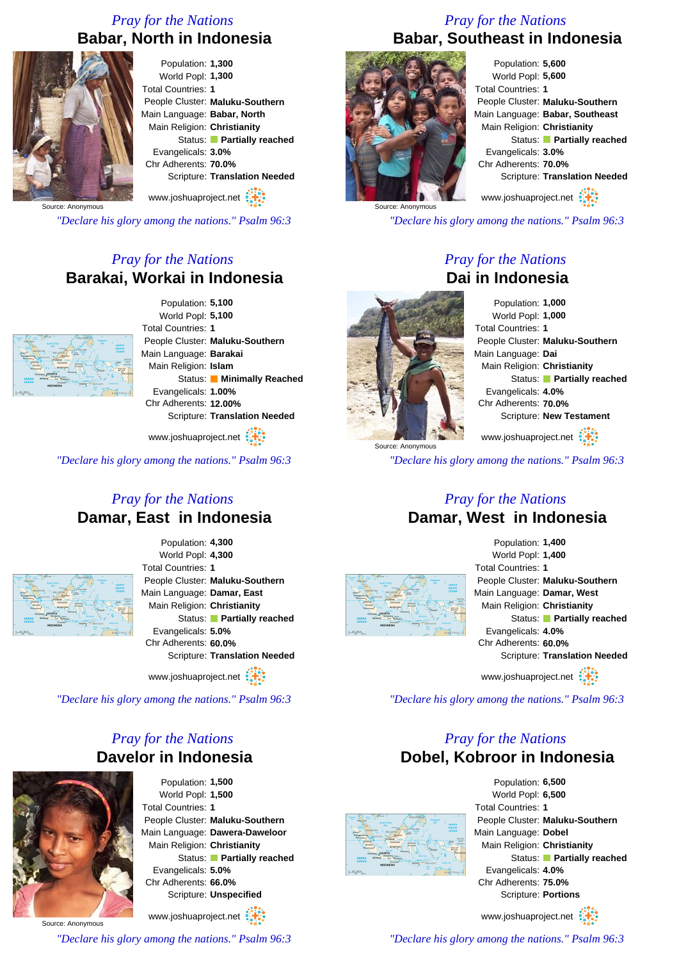## *Pray for the Nations* **Babar, North in Indonesia**



Population: **1,300** World Popl: **1,300** Total Countries: **1** People Cluster: **Maluku-Southern** Main Language: **Babar, North** Main Religion: **Christianity** Status: **Partially reached** Evangelicals: **3.0%** Chr Adherents: **70.0%** Scripture: **Translation Needed** www.joshuaproject.net

Source: Anonymous

*"Declare his glory among the nations." Psalm 96:3*

## *Pray for the Nations* **Barakai, Workai in Indonesia**



Population: **5,100** World Popl: **5,100** Total Countries: **1** People Cluster: **Maluku-Southern** Main Language: **Barakai** Main Religion: **Islam** Status: **Minimally Reached** Evangelicals: **1.00%** Chr Adherents: **12.00%** Scripture: **Translation Needed**

www.joshuaproject.net :

*"Declare his glory among the nations." Psalm 96:3*

#### *Pray for the Nations* **Damar, East in Indonesia**



Population: **4,300** World Popl: **4,300** Total Countries: **1** People Cluster: **Maluku-Southern** Main Language: **Damar, East** Main Religion: **Christianity** Status: **Partially reached** Evangelicals: **5.0%** Chr Adherents: **60.0%** Scripture: **Translation Needed**

www.joshuaproject.net

*"Declare his glory among the nations." Psalm 96:3*

## *Pray for the Nations* **Davelor in Indonesia**



Population: **1,500** World Popl: **1,500** Total Countries: **1** People Cluster: **Maluku-Southern** Main Language: **Dawera-Daweloor** Main Religion: **Christianity** Status: **Partially reached** Evangelicals: **5.0%** Chr Adherents: **66.0%** Scripture: **Unspecified** www.joshuaproject.net

Source: Anonymous

*"Declare his glory among the nations." Psalm 96:3*

#### *Pray for the Nations* **Babar, Southeast in Indonesia**



Population: **5,600** World Popl: **5,600** Total Countries: **1** People Cluster: **Maluku-Southern** Main Language: **Babar, Southeast** Main Religion: **Christianity** Status: **Partially reached** Evangelicals: **3.0%** Chr Adherents: **70.0%** Scripture: **Translation Needed**

www.joshuaproject.net

*"Declare his glory among the nations." Psalm 96:3*

#### *Pray for the Nations* **Dai in Indonesia**



Population: **1,000** World Popl: **1,000** Total Countries: **1** People Cluster: **Maluku-Southern** Main Language: **Dai** Main Religion: **Christianity** Status: **Partially reached** Evangelicals: **4.0%** Chr Adherents: **70.0%** Scripture: **New Testament** www.joshuaproject.net

*"Declare his glory among the nations." Psalm 96:3*

#### *Pray for the Nations* **Damar, West in Indonesia**



Population: **1,400** World Popl: **1,400** Total Countries: **1** People Cluster: **Maluku-Southern** Main Language: **Damar, West** Main Religion: **Christianity** Status: **Partially reached** Evangelicals: **4.0%** Chr Adherents: **60.0%** Scripture: **Translation Needed** www.joshuaproject.net

*"Declare his glory among the nations." Psalm 96:3*

## *Pray for the Nations* **Dobel, Kobroor in Indonesia**



Population: **6,500** World Popl: **6,500** Total Countries: **1** People Cluster: **Maluku-Southern** Main Language: **Dobel** Main Religion: **Christianity** Status: **Partially reached** Evangelicals: **4.0%** Chr Adherents: **75.0%** Scripture: **Portions**

www.joshuaproject.net

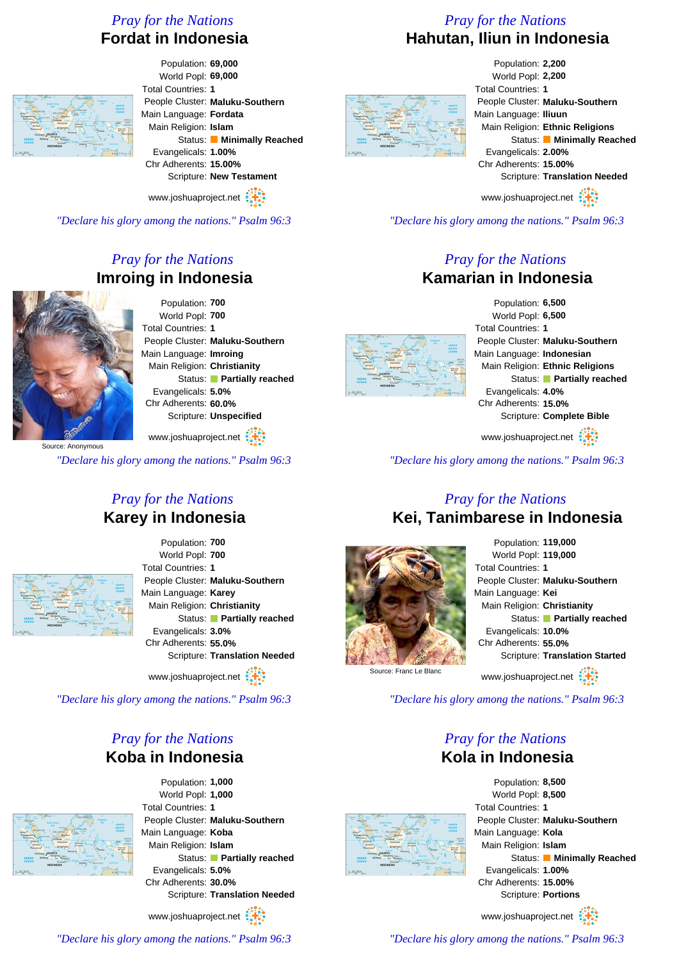## *Pray for the Nations* **Fordat in Indonesia**

Population: **69,000** World Popl: **69,000** Total Countries: **1** People Cluster: **Maluku-Southern** Main Language: **Fordata** Main Religion: **Islam** Status: **Minimally Reached** Evangelicals: **1.00%** Chr Adherents: **15.00%** Scripture: **New Testament**

www.joshuaproject.net

*"Declare his glory among the nations." Psalm 96:3*

# *Pray for the Nations* **Imroing in Indonesia**



Population: **700** World Popl: **700** Total Countries: **1** People Cluster: **Maluku-Southern** Main Language: **Imroing** Main Religion: **Christianity** Status: **Partially reached** Evangelicals: **5.0%** Chr Adherents: **60.0%** Scripture: **Unspecified**

www.joshuaproject.net

Source: Anonymous

*"Declare his glory among the nations." Psalm 96:3*

#### *Pray for the Nations* **Karey in Indonesia**



Population: **700** World Popl: **700** Total Countries: **1** People Cluster: **Maluku-Southern** Main Language: **Karey** Main Religion: **Christianity** Status: **Partially reached** Evangelicals: **3.0%** Chr Adherents: **55.0%** Scripture: **Translation Needed**

www.joshuaproject.net

*"Declare his glory among the nations." Psalm 96:3*

#### *Pray for the Nations* **Koba in Indonesia**



Population: **1,000** World Popl: **1,000** Total Countries: **1** People Cluster: **Maluku-Southern** Main Language: **Koba** Main Religion: **Islam** Status: **Partially reached** Evangelicals: **5.0%** Chr Adherents: **30.0%** Scripture: **Translation Needed**

www.joshuaproject.net

*"Declare his glory among the nations." Psalm 96:3*

### *Pray for the Nations* **Hahutan, Iliun in Indonesia**

Population: **2,200** World Popl: **2,200** Total Countries: **1** People Cluster: **Maluku-Southern** Main Language: **Iliuun** Main Religion: **Ethnic Religions** Status: **Minimally Reached** Evangelicals: **2.00%** Chr Adherents: **15.00%** Scripture: **Translation Needed** www.joshuaproject.net

*"Declare his glory among the nations." Psalm 96:3*

#### *Pray for the Nations* **Kamarian in Indonesia**



Population: **6,500** World Popl: **6,500** Total Countries: **1** People Cluster: **Maluku-Southern** Main Language: **Indonesian** Main Religion: **Ethnic Religions** Status: **Partially reached** Evangelicals: **4.0%** Chr Adherents: **15.0%** Scripture: **Complete Bible**

www.joshuaproject.net

*"Declare his glory among the nations." Psalm 96:3*

#### *Pray for the Nations* **Kei, Tanimbarese in Indonesia**



#### Population: **119,000** World Popl: **119,000** Total Countries: **1** People Cluster: **Maluku-Southern** Main Language: **Kei** Main Religion: **Christianity** Status: **Partially reached** Evangelicals: **10.0%** Chr Adherents: **55.0%** Scripture: **Translation Started** www.joshuaproject.net

Source: Franc Le Blanc

*"Declare his glory among the nations." Psalm 96:3*

## *Pray for the Nations* **Kola in Indonesia**



Population: **8,500** World Popl: **8,500** Total Countries: **1** People Cluster: **Maluku-Southern** Main Language: **Kola** Main Religion: **Islam** Status: **Minimally Reached** Evangelicals: **1.00%** Chr Adherents: **15.00%** Scripture: **Portions**

www.joshuaproject.net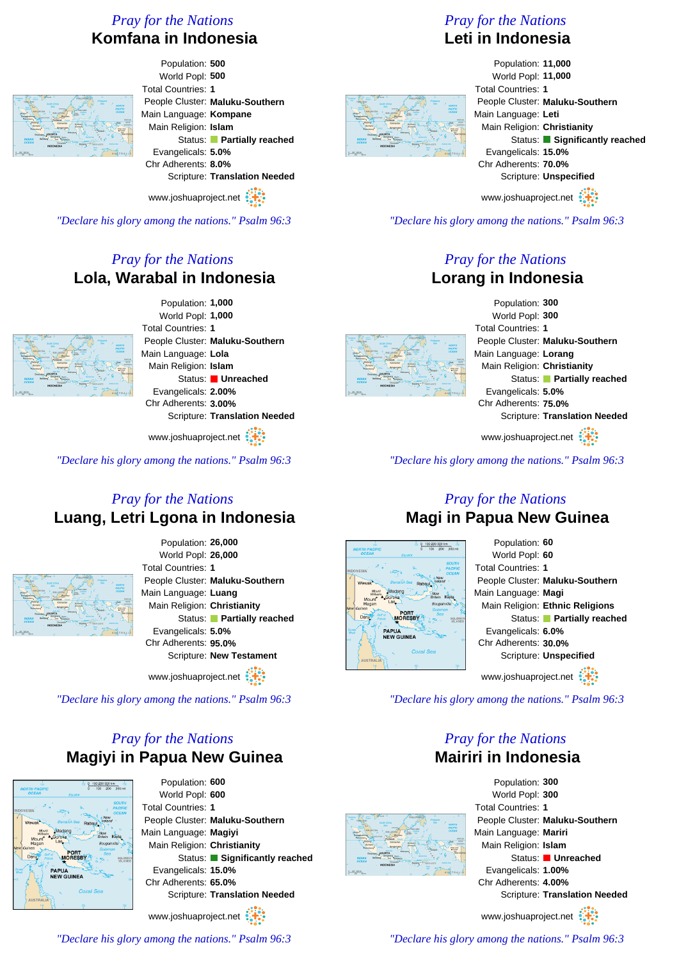# *Pray for the Nations* **Komfana in Indonesia**



Population: **500** World Popl: **500** Total Countries: **1** People Cluster: **Maluku-Southern** Main Language: **Kompane** Main Religion: **Islam** Status: **Partially reached** Evangelicals: **5.0%** Chr Adherents: **8.0%** Scripture: **Translation Needed**

www.joshuaproject.net

*"Declare his glory among the nations." Psalm 96:3*

## *Pray for the Nations* **Lola, Warabal in Indonesia**



Population: **1,000** World Popl: **1,000** Total Countries: **1** People Cluster: **Maluku-Southern** Main Language: **Lola** Main Religion: **Islam** Status: **Unreached** Evangelicals: **2.00%** Chr Adherents: **3.00%** Scripture: **Translation Needed**

www.joshuaproject.net

*"Declare his glory among the nations." Psalm 96:3*

#### *Pray for the Nations* **Luang, Letri Lgona in Indonesia**



Population: **26,000** World Popl: **26,000** Total Countries: **1** People Cluster: **Maluku-Southern** Main Language: **Luang** Main Religion: **Christianity** Status: **Partially reached** Evangelicals: **5.0%** Chr Adherents: **95.0%** Scripture: **New Testament**

www.joshuaproject.net

*"Declare his glory among the nations." Psalm 96:3*

## *Pray for the Nations* **Magiyi in Papua New Guinea**



Population: **600** World Popl: **600** Total Countries: **1** People Cluster: **Maluku-Southern** Main Language: **Magiyi** Main Religion: **Christianity** Status: **Significantly reached** Evangelicals: **15.0%** Chr Adherents: **65.0%** Scripture: **Translation Needed**

www.joshuaproject.net

*"Declare his glory among the nations." Psalm 96:3*

## *Pray for the Nations* **Leti in Indonesia**



Population: **11,000** World Popl: **11,000** Total Countries: **1** People Cluster: **Maluku-Southern** Main Language: **Leti** Main Religion: **Christianity** Status: **Significantly reached** Evangelicals: **15.0%** Chr Adherents: **70.0%** Scripture: **Unspecified** www.joshuaproject.net

*"Declare his glory among the nations." Psalm 96:3*

#### *Pray for the Nations* **Lorang in Indonesia**



Population: **300** World Popl: **300** Total Countries: **1** People Cluster: **Maluku-Southern** Main Language: **Lorang** Main Religion: **Christianity** Status: **Partially reached** Evangelicals: **5.0%** Chr Adherents: **75.0%** Scripture: **Translation Needed**

www.joshuaproject.net

*"Declare his glory among the nations." Psalm 96:3*

### *Pray for the Nations* **Magi in Papua New Guinea**



*"Declare his glory among the nations." Psalm 96:3*

## *Pray for the Nations* **Mairiri in Indonesia**



Population: **300** World Popl: **300** Total Countries: **1** People Cluster: **Maluku-Southern** Main Language: **Mariri** Main Religion: **Islam** Status: **Unreached** Evangelicals: **1.00%** Chr Adherents: **4.00%** Scripture: **Translation Needed** www.joshuaproject.net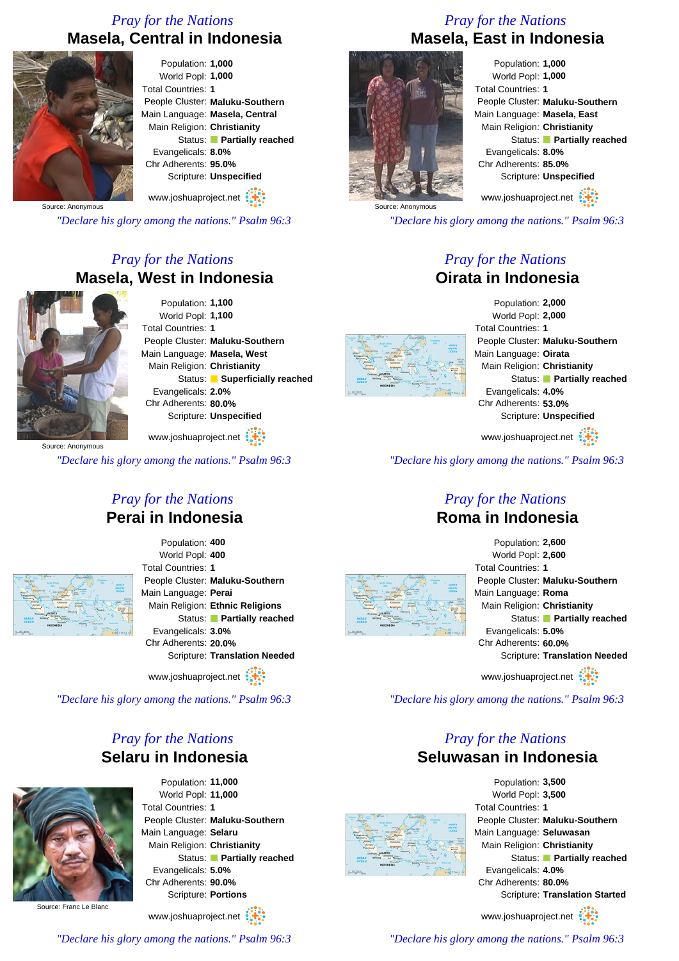## *Pray for the Nations* **Masela, Central in Indonesia**



Population: **1,000** World Popl: **1,000** Total Countries: **1** People Cluster: **Maluku-Southern** Main Language: **Masela, Central** Main Religion: **Christianity** Status: **Partially reached** Evangelicals: **8.0%** Chr Adherents: **95.0%** Scripture: **Unspecified**

www.joshuaproject.net

Source: Anonymous

*"Declare his glory among the nations." Psalm 96:3*

# *Pray for the Nations* **Masela, West in Indonesia**



Population: **1,100** World Popl: **1,100** Total Countries: **1** People Cluster: **Maluku-Southern** Main Language: **Masela, West** Main Religion: **Christianity** Status: **Superficially reached** Evangelicals: **2.0%** Chr Adherents: **80.0%** Scripture: **Unspecified** www.joshuaproject.net

Source: Anonymous

*"Declare his glory among the nations." Psalm 96:3*

#### *Pray for the Nations* **Perai in Indonesia**



Population: **400** World Popl: **400** Total Countries: **1** People Cluster: **Maluku-Southern** Main Language: **Perai** Main Religion: **Ethnic Religions** Status: **Partially reached** Evangelicals: **3.0%** Chr Adherents: **20.0%** Scripture: **Translation Needed**

www.joshuaproject.net

*"Declare his glory among the nations." Psalm 96:3*

## *Pray for the Nations* **Selaru in Indonesia**



Population: **11,000** World Popl: **11,000** Total Countries: **1** People Cluster: **Maluku-Southern** Main Language: **Selaru** Main Religion: **Christianity** Status: **Partially reached** Evangelicals: **5.0%** Chr Adherents: **90.0%** Scripture: **Portions**

www.joshuaproject.net

*Pray for the Nations* **Masela, East in Indonesia**



Population: **1,000** World Popl: **1,000** Total Countries: **1** People Cluster: **Maluku-Southern** Main Language: **Masela, East** Main Religion: **Christianity** Status: **Partially reached** Evangelicals: **8.0%** Chr Adherents: **85.0%** Scripture: **Unspecified** www.joshuaproject.net

Source: Anonymous

*"Declare his glory among the nations." Psalm 96:3*

#### *Pray for the Nations* **Oirata in Indonesia**



Population: **2,000** World Popl: **2,000** Total Countries: **1** People Cluster: **Maluku-Southern** Main Language: **Oirata** Main Religion: **Christianity** Status: **Partially reached** Evangelicals: **4.0%** Chr Adherents: **53.0%** Scripture: **Unspecified**

www.joshuaproject.net

*"Declare his glory among the nations." Psalm 96:3*

#### *Pray for the Nations* **Roma in Indonesia**





*"Declare his glory among the nations." Psalm 96:3*

#### *Pray for the Nations* **Seluwasan in Indonesia**



Population: **3,500** World Popl: **3,500** Total Countries: **1** People Cluster: **Maluku-Southern** Main Language: **Seluwasan** Main Religion: **Christianity** Status: **Partially reached** Evangelicals: **4.0%** Chr Adherents: **80.0%** Scripture: **Translation Started**

www.joshuaproject.net

*"Declare his glory among the nations." Psalm 96:3*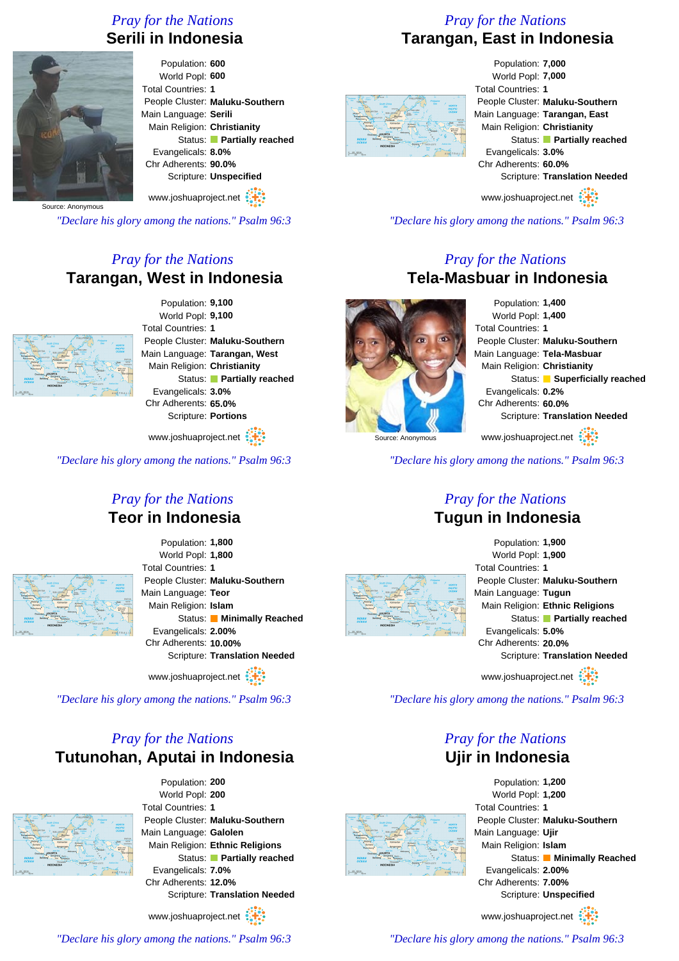## *Pray for the Nations* **Serili in Indonesia**



Population: **600** World Popl: **600** Total Countries: **1** People Cluster: **Maluku-Southern** Main Language: **Serili** Main Religion: **Christianity** Status: **Partially reached** Evangelicals: **8.0%** Chr Adherents: **90.0%** Scripture: **Unspecified** www.joshuaproject.net

Source: Anonymous

*"Declare his glory among the nations." Psalm 96:3*

## *Pray for the Nations* **Tarangan, West in Indonesia**



Population: **9,100** World Popl: **9,100** Total Countries: **1** People Cluster: **Maluku-Southern** Main Language: **Tarangan, West** Main Religion: **Christianity** Status: **Partially reached** Evangelicals: **3.0%** Chr Adherents: **65.0%** Scripture: **Portions**

www.joshuaproject.net

*"Declare his glory among the nations." Psalm 96:3*

#### *Pray for the Nations* **Teor in Indonesia**



Population: **1,800** World Popl: **1,800** Total Countries: **1** People Cluster: **Maluku-Southern** Main Language: **Teor** Main Religion: **Islam** Status: **Minimally Reached** Evangelicals: **2.00%** Chr Adherents: **10.00%** Scripture: **Translation Needed**

www.joshuaproject.net

*"Declare his glory among the nations." Psalm 96:3*

## *Pray for the Nations* **Tutunohan, Aputai in Indonesia**



Population: **200** World Popl: **200** Total Countries: **1** People Cluster: **Maluku-Southern** Main Language: **Galolen** Main Religion: **Ethnic Religions** Status: **Partially reached** Evangelicals: **7.0%** Chr Adherents: **12.0%** Scripture: **Translation Needed**

www.joshuaproject.net :

*"Declare his glory among the nations." Psalm 96:3*

### *Pray for the Nations* **Tarangan, East in Indonesia**



Population: **7,000** World Popl: **7,000** Total Countries: **1** People Cluster: **Maluku-Southern** Main Language: **Tarangan, East** Main Religion: **Christianity** Status: **Partially reached** Evangelicals: **3.0%** Chr Adherents: **60.0%** Scripture: **Translation Needed** www.joshuaproject.net

*"Declare his glory among the nations." Psalm 96:3*

#### *Pray for the Nations* **Tela-Masbuar in Indonesia**



Population: **1,400** World Popl: **1,400** Total Countries: **1** People Cluster: **Maluku-Southern** Main Language: **Tela-Masbuar** Main Religion: **Christianity** Status: **Superficially reached** Evangelicals: **0.2%** Chr Adherents: **60.0%** Scripture: **Translation Needed** www.joshuaproject.net

*"Declare his glory among the nations." Psalm 96:3*

#### *Pray for the Nations* **Tugun in Indonesia**





www.joshuaproject.net

*"Declare his glory among the nations." Psalm 96:3*

#### *Pray for the Nations* **Ujir in Indonesia**



Population: **1,200** World Popl: **1,200** Total Countries: **1** People Cluster: **Maluku-Southern** Main Language: **Ujir** Main Religion: **Islam** Status: **Minimally Reached** Evangelicals: **2.00%** Chr Adherents: **7.00%** Scripture: **Unspecified**

www.joshuaproject.net